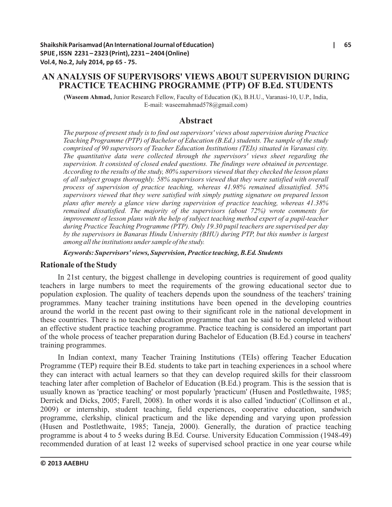# **AN ANALYSIS OF SUPERVISORS' VIEWS ABOUT SUPERVISION DURING PRACTICE TEACHING PROGRAMME (PTP) OF B.Ed. STUDENTS**

**(Waseem Ahmad,** Junior Research Fellow, Faculty of Education (K), B.H.U., Varanasi-10, U.P., India, E-mail: waseemahmad578@gmail.com)

### **Abstract**

*The purpose of present study is to find out supervisors' views about supervision during Practice Teaching Programme (PTP) of Bachelor of Education (B.Ed.) students. The sample of the study comprised of 90 supervisors of Teacher Education Institutions (TEIs) situated in Varanasi city. The quantitative data were collected through the supervisors' views sheet regarding the supervision. It consisted of closed ended questions. The findings were obtained in percentage. According to the results of the study, 80% supervisors viewed that they checked the lesson plans of all subject groups thoroughly. 58% supervisors viewed that they were satisfied with overall process of supervision of practice teaching, whereas 41.98% remained dissatisfied. 58% supervisors viewed that they were satisfied with simply putting signature on prepared lesson plans after merely a glance view during supervision of practice teaching, whereas 41.38% remained dissatisfied. The majority of the supervisors (about 72%) wrote comments for improvement of lesson plans with the help of subject teaching method expert of a pupil-teacher during Practice Teaching Programme (PTP). Only 19.30 pupil teachers are supervised per day by the supervisors in Banaras Hindu University (BHU) during PTP, but this number is largest among all the institutions under sample of the study.* 

*Keywords: Supervisors' views, Supervision, Practice teaching, B.Ed. Students*

#### **Rationale of the Study**

In 21st century, the biggest challenge in developing countries is requirement of good quality teachers in large numbers to meet the requirements of the growing educational sector due to population explosion. The quality of teachers depends upon the soundness of the teachers' training programmes. Many teacher training institutions have been opened in the developing countries around the world in the recent past owing to their significant role in the national development in these countries. There is no teacher education programme that can be said to be completed without an effective student practice teaching programme. Practice teaching is considered an important part of the whole process of teacher preparation during Bachelor of Education (B.Ed.) course in teachers' training programmes.

In Indian context, many Teacher Training Institutions (TEIs) offering Teacher Education Programme (TEP) require their B.Ed. students to take part in teaching experiences in a school where they can interact with actual learners so that they can develop required skills for their classroom teaching later after completion of Bachelor of Education (B.Ed.) program. This is the session that is usually known as 'practice teaching' or most popularly 'practicum' (Husen and Postlethwaite, 1985; Derrick and Dicks, 2005; Farell, 2008). In other words it is also called 'induction' (Collinson et al., 2009) or internship, student teaching, field experiences, cooperative education, sandwich programme, clerkship, clinical practicum and the like depending and varying upon profession (Husen and Postlethwaite, 1985; Taneja, 2000). Generally, the duration of practice teaching programme is about 4 to 5 weeks during B.Ed. Course. University Education Commission (1948-49) recommended duration of at least 12 weeks of supervised school practice in one year course while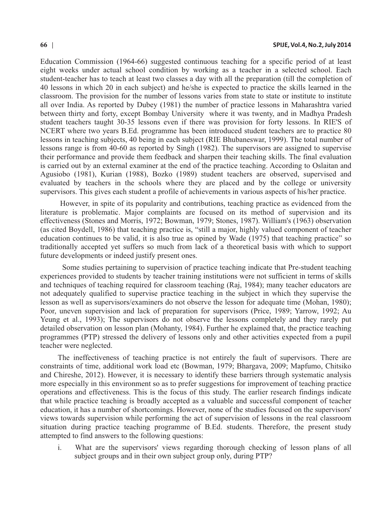Education Commission (1964-66) suggested continuous teaching for a specific period of at least eight weeks under actual school condition by working as a teacher in a selected school. Each student-teacher has to teach at least two classes a day with all the preparation (till the completion of 40 lessons in which 20 in each subject) and he/she is expected to practice the skills learned in the classroom. The provision for the number of lessons varies from state to state or institute to institute all over India. As reported by Dubey (1981) the number of practice lessons in Maharashtra varied between thirty and forty, except Bombay University where it was twenty, and in Madhya Pradesh student teachers taught 30-35 lessons even if there was provision for forty lessons. In RIE'S of NCERT where two years B.Ed. programme has been introduced student teachers are to practice 80 lessons in teaching subjects, 40 being in each subject (RIE Bhubaneswar, 1999). The total number of lessons range is from 40-60 as reported by Singh (1982). The supervisors are assigned to supervise their performance and provide them feedback and sharpen their teaching skills. The final evaluation is carried out by an external examiner at the end of the practice teaching. According to Oslaitan and Agusiobo (1981), Kurian (1988), Bozko (1989) student teachers are observed, supervised and evaluated by teachers in the schools where they are placed and by the college or university supervisors. This gives each student a profile of achievements in various aspects of his/her practice.

However, in spite of its popularity and contributions, teaching practice as evidenced from the literature is problematic. Major complaints are focused on its method of supervision and its effectiveness (Stones and Morris, 1972; Bowman, 1979; Stones, 1987). William's (1963) observation (as cited Boydell, 1986) that teaching practice is, "still a major, highly valued component of teacher education continues to be valid, it is also true as opined by Wade (1975) that teaching practice" so traditionally accepted yet suffers so much from lack of a theoretical basis with which to support future developments or indeed justify present ones.

Some studies pertaining to supervision of practice teaching indicate that Pre-student teaching experiences provided to students by teacher training institutions were not sufficient in terms of skills and techniques of teaching required for classroom teaching (Raj, 1984); many teacher educators are not adequately qualified to supervise practice teaching in the subject in which they supervise the lesson as well as supervisors/examiners do not observe the lesson for adequate time (Mohan, 1980); Poor, uneven supervision and lack of preparation for supervisors (Price, 1989; Yarrow, 1992; Au Yeung et al., 1993); The supervisors do not observe the lessons completely and they rarely put detailed observation on lesson plan (Mohanty, 1984). Further he explained that, the practice teaching programmes (PTP) stressed the delivery of lessons only and other activities expected from a pupil teacher were neglected.

The ineffectiveness of teaching practice is not entirely the fault of supervisors. There are constraints of time, additional work load etc (Bowman, 1979; Bhargava, 2009; Mapfumo, Chitsiko and Chireshe, 2012). However, it is necessary to identify these barriers through systematic analysis more especially in this environment so as to prefer suggestions for improvement of teaching practice operations and effectiveness. This is the focus of this study. The earlier research findings indicate that while practice teaching is broadly accepted as a valuable and successful component of teacher education, it has a number of shortcomings. However, none of the studies focused on the supervisors' views towards supervision while performing the act of supervision of lessons in the real classroom situation during practice teaching programme of B.Ed. students. Therefore, the present study attempted to find answers to the following questions:

i. What are the supervisors' views regarding thorough checking of lesson plans of all subject groups and in their own subject group only, during PTP?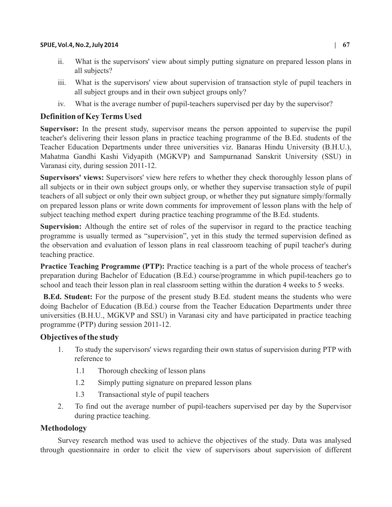- ii. What is the supervisors' view about simply putting signature on prepared lesson plans in all subjects?
- iii. What is the supervisors' view about supervision of transaction style of pupil teachers in all subject groups and in their own subject groups only?
- iv. What is the average number of pupil-teachers supervised per day by the supervisor?

# **Definition of Key Terms Used**

**Supervisor:** In the present study, supervisor means the person appointed to supervise the pupil teacher's delivering their lesson plans in practice teaching programme of the B.Ed. students of the Teacher Education Departments under three universities viz. Banaras Hindu University (B.H.U.), Mahatma Gandhi Kashi Vidyapith (MGKVP) and Sampurnanad Sanskrit University (SSU) in Varanasi city, during session 2011-12.

**Supervisors' views:** Supervisors' view here refers to whether they check thoroughly lesson plans of all subjects or in their own subject groups only, or whether they supervise transaction style of pupil teachers of all subject or only their own subject group, or whether they put signature simply/formally on prepared lesson plans or write down comments for improvement of lesson plans with the help of subject teaching method expert during practice teaching programme of the B.Ed. students.

**Supervision:** Although the entire set of roles of the supervisor in regard to the practice teaching programme is usually termed as "supervision", yet in this study the termed supervision defined as the observation and evaluation of lesson plans in real classroom teaching of pupil teacher's during teaching practice.

**Practice Teaching Programme (PTP):** Practice teaching is a part of the whole process of teacher's preparation during Bachelor of Education (B.Ed.) course/programme in which pupil-teachers go to school and teach their lesson plan in real classroom setting within the duration 4 weeks to 5 weeks.

**B.Ed. Student:** For the purpose of the present study B.Ed. student means the students who were doing Bachelor of Education (B.Ed.) course from the Teacher Education Departments under three universities (B.H.U., MGKVP and SSU) in Varanasi city and have participated in practice teaching programme (PTP) during session 2011-12.

# **Objectives of the study**

- 1. To study the supervisors' views regarding their own status of supervision during PTP with reference to
	- 1.1 Thorough checking of lesson plans
	- 1.2 Simply putting signature on prepared lesson plans
	- 1.3 Transactional style of pupil teachers
- 2. To find out the average number of pupil-teachers supervised per day by the Supervisor during practice teaching.

# **Methodology**

Survey research method was used to achieve the objectives of the study. Data was analysed through questionnaire in order to elicit the view of supervisors about supervision of different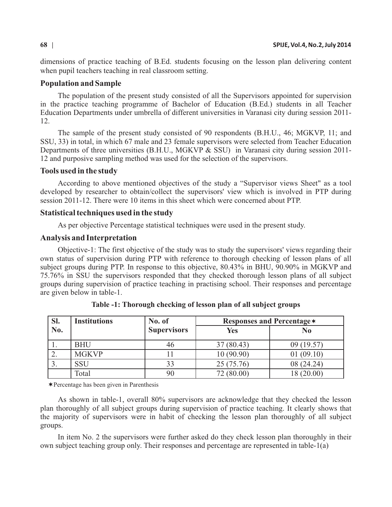dimensions of practice teaching of B.Ed. students focusing on the lesson plan delivering content when pupil teachers teaching in real classroom setting.

#### **Population and Sample**

The population of the present study consisted of all the Supervisors appointed for supervision in the practice teaching programme of Bachelor of Education (B.Ed.) students in all Teacher Education Departments under umbrella of different universities in Varanasi city during session 2011- 12.

The sample of the present study consisted of 90 respondents (B.H.U., 46; MGKVP, 11; and SSU, 33) in total, in which 67 male and 23 female supervisors were selected from Teacher Education Departments of three universities (B.H.U., MGKVP & SSU) in Varanasi city during session 2011-12 and purposive sampling method was used for the selection of the supervisors.

#### **Tools used in the study**

According to above mentioned objectives of the study a "Supervisor views Sheet" as a tool developed by researcher to obtain/collect the supervisors' view which is involved in PTP during session 2011-12. There were 10 items in this sheet which were concerned about PTP.

#### **Statistical techniques used in the study**

As per objective Percentage statistical techniques were used in the present study.

#### **Analysis and Interpretation**

Objective-1: The first objective of the study was to study the supervisors' views regarding their own status of supervision during PTP with reference to thorough checking of lesson plans of all subject groups during PTP. In response to this objective, 80.43% in BHU, 90.90% in MGKVP and 75.76% in SSU the supervisors responded that they checked thorough lesson plans of all subject groups during supervision of practice teaching in practising school. Their responses and percentage are given below in table-1.

| SI.             | <b>Institutions</b> | No. of             | Responses and Percentage * |            |
|-----------------|---------------------|--------------------|----------------------------|------------|
| No.             |                     | <b>Supervisors</b> | <b>Yes</b>                 | $\bf No$   |
| . .             | <b>BHU</b>          | 46                 | 37(80.43)                  | 09(19.57)  |
|                 | <b>MGKVP</b>        |                    | 10(90.90)                  | 01(09.10)  |
| $\mathcal{I}$ . | <b>SSU</b>          | 33                 | 25 (75.76)                 | 08(24.24)  |
|                 | Total               | 90                 | 72 (80.00)                 | 18 (20.00) |

**Table -1: Thorough checking of lesson plan of all subject groups**

¬ Percentage has been given in Parenthesis

As shown in table-1, overall 80% supervisors are acknowledge that they checked the lesson plan thoroughly of all subject groups during supervision of practice teaching. It clearly shows that the majority of supervisors were in habit of checking the lesson plan thoroughly of all subject groups.

In item No. 2 the supervisors were further asked do they check lesson plan thoroughly in their own subject teaching group only. Their responses and percentage are represented in table-1(a)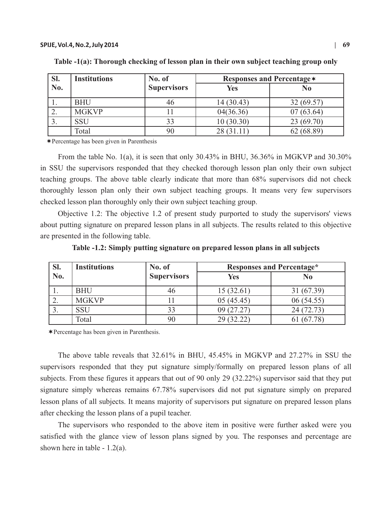| Sl. | <b>Institutions</b> | No. of             | <b>Responses and Percentage *</b> |            |
|-----|---------------------|--------------------|-----------------------------------|------------|
| No. |                     | <b>Supervisors</b> | Yes                               | $\bf No$   |
|     | <b>BHU</b>          | 46                 | 14(30.43)                         | 32(69.57)  |
|     | <b>MGKVP</b>        |                    | 04(36.36)                         | 07(63.64)  |
| J.  | <b>SSU</b>          | 33                 | 10(30.30)                         | 23(69.70)  |
|     | Total               | 90                 | 28(31.11)                         | 62 (68.89) |

**Table -1(a): Thorough checking of lesson plan in their own subject teaching group only**

¬Percentage has been given in Parenthesis

From the table No. 1(a), it is seen that only 30.43% in BHU, 36.36% in MGKVP and 30.30% in SSU the supervisors responded that they checked thorough lesson plan only their own subject teaching groups. The above table clearly indicate that more than 68% supervisors did not check thoroughly lesson plan only their own subject teaching groups. It means very few supervisors checked lesson plan thoroughly only their own subject teaching group.

Objective 1.2: The objective 1.2 of present study purported to study the supervisors' views about putting signature on prepared lesson plans in all subjects. The results related to this objective are presented in the following table.

| SI. | <b>Institutions</b> | No. of             | <b>Responses and Percentage*</b> |            |
|-----|---------------------|--------------------|----------------------------------|------------|
| No. |                     | <b>Supervisors</b> | Yes                              | No         |
|     | <b>BHU</b>          |                    | 15(32.61)                        | 31 (67.39) |
| ∠.  | <b>MGKVP</b>        |                    | 05(45.45)                        | 06(54.55)  |
|     | SSU                 | 33                 | 09 (27.27)                       | 24(72.73)  |
|     | Total               |                    | 29 (32.22)                       | 61 (67.78) |

**Table -1.2: Simply putting signature on prepared lesson plans in all subjects** 

¬ Percentage has been given in Parenthesis.

The above table reveals that 32.61% in BHU, 45.45% in MGKVP and 27.27% in SSU the supervisors responded that they put signature simply/formally on prepared lesson plans of all subjects. From these figures it appears that out of 90 only 29 (32.22%) supervisor said that they put signature simply whereas remains 67.78% supervisors did not put signature simply on prepared lesson plans of all subjects. It means majority of supervisors put signature on prepared lesson plans after checking the lesson plans of a pupil teacher.

The supervisors who responded to the above item in positive were further asked were you satisfied with the glance view of lesson plans signed by you. The responses and percentage are shown here in table - 1.2(a).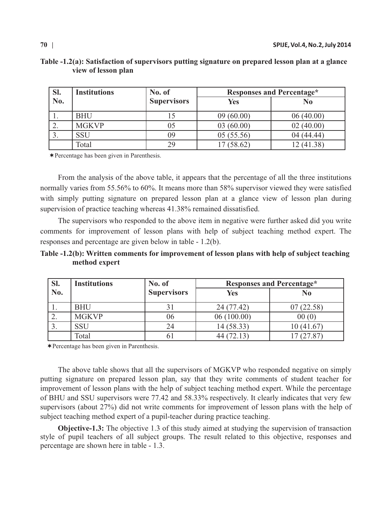| Sl.                      | <b>Institutions</b> | No. of             |            | <b>Responses and Percentage*</b> |
|--------------------------|---------------------|--------------------|------------|----------------------------------|
| $\mathbf{N}\mathbf{0}$ . |                     | <b>Supervisors</b> | Yes        | No                               |
|                          | <b>BHU</b>          |                    | 09(60.00)  | 06(40.00)                        |
| <u>، ،</u>               | <b>MGKVP</b>        | 05                 | 03(60.00)  | 02(40.00)                        |
|                          | SSU                 | 09                 | 05(55.56)  | 04 (44.44)                       |
|                          | Total               | 29                 | 17 (58.62) | 12 (41.38)                       |

## **Table -1.2(a): Satisfaction of supervisors putting signature on prepared lesson plan at a glance view of lesson plan**

¬Percentage has been given in Parenthesis.

From the analysis of the above table, it appears that the percentage of all the three institutions normally varies from 55.56% to 60%. It means more than 58% supervisor viewed they were satisfied with simply putting signature on prepared lesson plan at a glance view of lesson plan during supervision of practice teaching whereas 41.38% remained dissatisfied.

The supervisors who responded to the above item in negative were further asked did you write comments for improvement of lesson plans with help of subject teaching method expert. The responses and percentage are given below in table - 1.2(b).

# **Table -1.2(b): Written comments for improvement of lesson plans with help of subject teaching method expert**

| SI. | <b>Institutions</b> | No. of             |            | <b>Responses and Percentage*</b> |
|-----|---------------------|--------------------|------------|----------------------------------|
| No. |                     | <b>Supervisors</b> | Yes        | N <sub>0</sub>                   |
|     | <b>BHU</b>          |                    | 24 (77.42) | 07(22.58)                        |
| ۷.  | <b>MGKVP</b>        | 06                 | 06(100.00) | 00(0)                            |
|     | SSU                 |                    | 14 (58.33) | 10(41.67)                        |
|     | Total               |                    | 44 (72.13) | 17 (27.87)                       |

¬Percentage has been given in Parenthesis.

The above table shows that all the supervisors of MGKVP who responded negative on simply putting signature on prepared lesson plan, say that they write comments of student teacher for improvement of lesson plans with the help of subject teaching method expert. While the percentage of BHU and SSU supervisors were 77.42 and 58.33% respectively. It clearly indicates that very few supervisors (about 27%) did not write comments for improvement of lesson plans with the help of subject teaching method expert of a pupil-teacher during practice teaching.

**Objective-1.3:** The objective 1.3 of this study aimed at studying the supervision of transaction style of pupil teachers of all subject groups. The result related to this objective, responses and percentage are shown here in table - 1.3.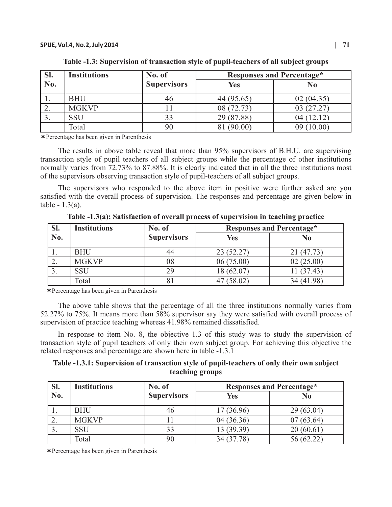| SI.      | <b>Institutions</b> | No. of             | <b>Responses and Percentage*</b> |                |
|----------|---------------------|--------------------|----------------------------------|----------------|
| No.      |                     | <b>Supervisors</b> | <b>Yes</b>                       | N <sub>0</sub> |
|          | <b>BHU</b>          |                    | 44 (95.65)                       | 02(04.35)      |
| <u>.</u> | <b>MGKVP</b>        |                    | 08 (72.73)                       | 03(27.27)      |
|          | SSU                 |                    | 29 (87.88)                       | 04(12.12)      |
|          | Total               |                    | 81 (90.00)                       | 09(10.00)      |

**Table -1.3: Supervision of transaction style of pupil-teachers of all subject groups** 

¬Percentage has been given in Parenthesis

The results in above table reveal that more than 95% supervisors of B.H.U. are supervising transaction style of pupil teachers of all subject groups while the percentage of other institutions normally varies from 72.73% to 87.88%. It is clearly indicated that in all the three institutions most of the supervisors observing transaction style of pupil-teachers of all subject groups.

The supervisors who responded to the above item in positive were further asked are you satisfied with the overall process of supervision. The responses and percentage are given below in table  $-1.3(a)$ .

**Table -1.3(a): Satisfaction of overall process of supervision in teaching practice**

| SI. | <b>Institutions</b> | No. of             | <b>Responses and Percentage*</b> |            |
|-----|---------------------|--------------------|----------------------------------|------------|
| No. |                     | <b>Supervisors</b> | <b>Yes</b>                       | No         |
|     | <b>BHU</b>          |                    | 23(52.27)                        | 21 (47.73) |
|     | <b>MGKVP</b>        | 08                 | 06(75.00)                        | 02(25.00)  |
|     | SSU                 |                    | 18 (62.07)                       | (37.43)    |
|     | Total               |                    | (58.02)                          | 34 (41.98) |

¬Percentage has been given in Parenthesis

The above table shows that the percentage of all the three institutions normally varies from 52.27% to 75%. It means more than 58% supervisor say they were satisfied with overall process of supervision of practice teaching whereas 41.98% remained dissatisfied.

In response to item No. 8, the objective 1.3 of this study was to study the supervision of transaction style of pupil teachers of only their own subject group. For achieving this objective the related responses and percentage are shown here in table -1.3.1

# **Table -1.3.1: Supervision of transaction style of pupil-teachers of only their own subject teaching groups**

| SI.                                    | <b>Institutions</b> | No. of             |            | <b>Responses and Percentage*</b> |
|----------------------------------------|---------------------|--------------------|------------|----------------------------------|
| $\overline{\textbf{N}}$ <sub>0</sub> . |                     | <b>Supervisors</b> | Yes        | No                               |
|                                        | <b>BHU</b>          | 40                 | 17(36.96)  | 29(63.04)                        |
| <u>، ،</u>                             | <b>MGKVP</b>        |                    | 04(36.36)  | 07(63.64)                        |
|                                        | SSU                 | 33                 | 13 (39.39) | 20(60.61)                        |
|                                        | Total               |                    | 34 (37.78) | 56 (62.22)                       |

¬Percentage has been given in Parenthesis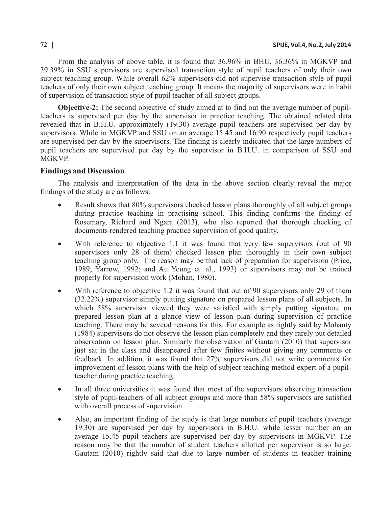From the analysis of above table, it is found that 36.96% in BHU, 36.36% in MGKVP and 39.39% in SSU supervisors are supervised transaction style of pupil teachers of only their own subject teaching group. While overall 62% supervisors did not supervise transaction style of pupil teachers of only their own subject teaching group. It means the majority of supervisors were in habit of supervision of transaction style of pupil teacher of all subject groups.

**Objective-2:** The second objective of study aimed at to find out the average number of pupilteachers is supervised per day by the supervisor in practice teaching. The obtained related data revealed that in B.H.U. approximately (19.30) average pupil teachers are supervised per day by supervisors. While in MGKVP and SSU on an average 15.45 and 16.90 respectively pupil teachers are supervised per day by the supervisors. The finding is clearly indicated that the large numbers of pupil teachers are supervised per day by the supervisor in B.H.U. in comparison of SSU and MGKVP.

## **Findings and Discussion**

The analysis and interpretation of the data in the above section clearly reveal the major findings of the study are as follows:

- Result shows that 80% supervisors checked lesson plans thoroughly of all subject groups during practice teaching in practising school. This finding confirms the finding of Rosemary, Richard and Ngara (2013), who also reported that thorough checking of documents rendered teaching practice supervision of good quality.
- With reference to objective 1.1 it was found that very few supervisors (out of 90 supervisors only 28 of them) checked lesson plan thoroughly in their own subject teaching group only. The reason may be that lack of preparation for supervision (Price, 1989; Yarrow, 1992; and Au Yeung et. al., 1993) or supervisors may not be trained properly for supervision work (Mohan, 1980).
- With reference to objective 1.2 it was found that out of 90 supervisors only 29 of them (32.22%) supervisor simply putting signature on prepared lesson plans of all subjects. In which 58% supervisor viewed they were satisfied with simply putting signature on prepared lesson plan at a glance view of lesson plan during supervision of practice teaching. There may be several reasons for this. For example as rightly said by Mohanty (1984) supervisors do not observe the lesson plan completely and they rarely put detailed observation on lesson plan. Similarly the observation of Gautam (2010) that supervisor just sat in the class and disappeared after few finites without giving any comments or feedback. In addition, it was found that 27% supervisors did not write comments for improvement of lesson plans with the help of subject teaching method expert of a pupilteacher during practice teaching.
- In all three universities it was found that most of the supervisors observing transaction style of pupil-teachers of all subject groups and more than 58% supervisors are satisfied with overall process of supervision.
- ·Also, an important finding of the study is that large numbers of pupil teachers (average 19.30) are supervised per day by supervisors in B.H.U. while lesser number on an average 15.45 pupil teachers are supervised per day by supervisors in MGKVP. The reason may be that the number of student teachers allotted per supervisor is so large. Gautam (2010) rightly said that due to large number of students in teacher training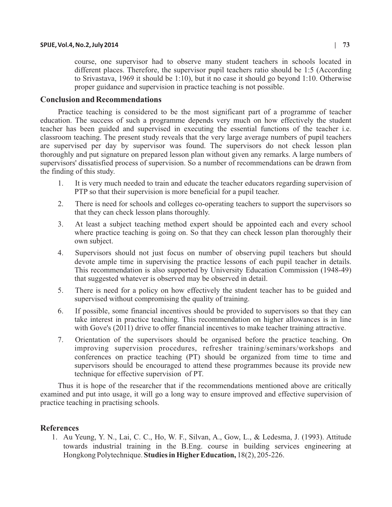course, one supervisor had to observe many student teachers in schools located in different places. Therefore, the supervisor pupil teachers ratio should be 1:5 (According to Srivastava, 1969 it should be 1:10), but it no case it should go beyond 1:10. Otherwise proper guidance and supervision in practice teaching is not possible.

### **Conclusion and Recommendations**

Practice teaching is considered to be the most significant part of a programme of teacher education. The success of such a programme depends very much on how effectively the student teacher has been guided and supervised in executing the essential functions of the teacher i.e. classroom teaching. The present study reveals that the very large average numbers of pupil teachers are supervised per day by supervisor was found. The supervisors do not check lesson plan thoroughly and put signature on prepared lesson plan without given any remarks. A large numbers of supervisors' dissatisfied process of supervision. So a number of recommendations can be drawn from the finding of this study.

- 1. It is very much needed to train and educate the teacher educators regarding supervision of PTP so that their supervision is more beneficial for a pupil teacher.
- 2. There is need for schools and colleges co-operating teachers to support the supervisors so that they can check lesson plans thoroughly.
- 3. At least a subject teaching method expert should be appointed each and every school where practice teaching is going on. So that they can check lesson plan thoroughly their own subject.
- 4. Supervisors should not just focus on number of observing pupil teachers but should devote ample time in supervising the practice lessons of each pupil teacher in details. This recommendation is also supported by University Education Commission (1948-49) that suggested whatever is observed may be observed in detail.
- 5. There is need for a policy on how effectively the student teacher has to be guided and supervised without compromising the quality of training.
- 6. If possible, some financial incentives should be provided to supervisors so that they can take interest in practice teaching. This recommendation on higher allowances is in line with Gove's (2011) drive to offer financial incentives to make teacher training attractive.
- 7. Orientation of the supervisors should be organised before the practice teaching. On improving supervision procedures, refresher training/seminars/workshops and conferences on practice teaching (PT) should be organized from time to time and supervisors should be encouraged to attend these programmes because its provide new technique for effective supervision of PT.

Thus it is hope of the researcher that if the recommendations mentioned above are critically examined and put into usage, it will go a long way to ensure improved and effective supervision of practice teaching in practising schools.

#### **References**

1. Au Yeung, Y. N., Lai, C. C., Ho, W. F., Silvan, A., Gow, L., & Ledesma, J. (1993). Attitude towards industrial training in the B.Eng. course in building services engineering at Hongkong Polytechnique. **Studies in HigherEducation,** 18(2), 205-226.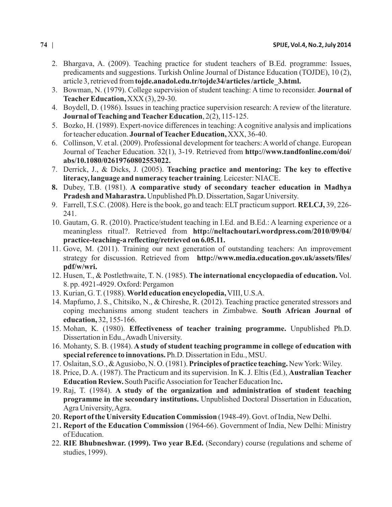- 2. Bhargava, A. (2009). Teaching practice for student teachers of B.Ed. programme: Issues, predicaments and suggestions. Turkish Online Journal of Distance Education (TOJDE), 10 (2), article 3, retrieved from **tojde.anadol.edu.tr/tojde34/articles /article\_3.html.**
- 3. Bowman, N. (1979). College supervision of student teaching: A time to reconsider. **Journal of Teacher Education,** XXX(3), 29-30.
- 4. Boydell, D. (1986). Issues in teaching practice supervision research: A review of the literature. **Journal of Teaching and TeacherEducation**, 2(2), 115-125.
- 5. Bozko, H. (1989). Expert-novice differences in teaching: A cognitive analysis and implications for teacher education. **Journal of Teacher Education**, XXX, 36-40.
- 6. Collinson, V. et al. (2009). Professional development for teachers: Aworld of change. European Journal of Teacher Education. 32(1), 3-19. Retrieved from **http://www.tandfonline.com/doi/ abs/10.1080/02619760802553022.**
- 7. Derrick, J., & Dicks, J. (2005). **Teaching practice and mentoring: The key to effective literacy, language and numeracy teacher training**. Leicester: NIACE.
- **8.** Dubey, T.B. (1981). **A comparative study of secondary teacher education in Madhya Pradesh and Maharastra.** Unpublished Ph.D. Dissertation, Sagar University.
- 9. Farrell, T.S.C. (2008). Here is the book, go and teach: ELT practicum support. **RELCJ,** 39, 226- 241.
- 10. Gautam, G. R. (2010). Practice/student teaching in I.Ed. and B.Ed.: A learning experience or a meaningless ritual?. Retrieved from **http://neltachoutari.wordpress.com/2010/09/04/ practice-teaching-a reflecting/retrieved on 6.05.11.**
- 11. Gove, M. (2011). Training our next generation of outstanding teachers: An improvement strategy for discussion. Retrieved from **http://www.media.education.gov.uk/assets/files/ pdf/w/wri.**
- 12. Husen, T., & Postlethwaite, T. N. (1985). **The international encyclopaedia of education.** Vol. 8. pp. 4921-4929. Oxford: Pergamon
- 13. Kurian, G. T. (1988). **World education encyclopedia,**VIII, U.S.A.
- 14. Mapfumo, J. S., Chitsiko, N., & Chireshe, R. (2012). Teaching practice generated stressors and coping mechanisms among student teachers in Zimbabwe. **South African Journal of education,** 32, 155-166.
- 15. Mohan, K. (1980). **Effectiveness of teacher training programme.** Unpublished Ph.D. Dissertation in Edu., Awadh University.
- 16. Mohanty, S. B. (1984). **A study of student teaching programme in college of education with special reference to innovations.** Ph.D. Dissertation in Edu., MSU.
- 17. Oslaitan, S.O., & Agusiobo, N. O. (1981). **Principles of practice teaching.** New York: Wiley.
- 18. Price, D. A. (1987). The Practicum and its supervision. In K. J. Eltis (Ed.), **Australian Teacher Education Review.** South Pacific Association for Teacher Education Inc**.**
- 19. Raj, T. (1984). **A study of the organization and administration of student teaching programme in the secondary institutions.** Unpublished Doctoral Dissertation in Education, Agra University, Agra.
- 20. **Report of the University Education Commission** (1948-49). Govt. of India, New Delhi.
- 21**. Report of the Education Commission** (1964-66). Government of India, New Delhi: Ministry of Education.
- 22. **RIE Bhubneshwar. (1999). Two year B.Ed.** (Secondary) course (regulations and scheme of studies, 1999).